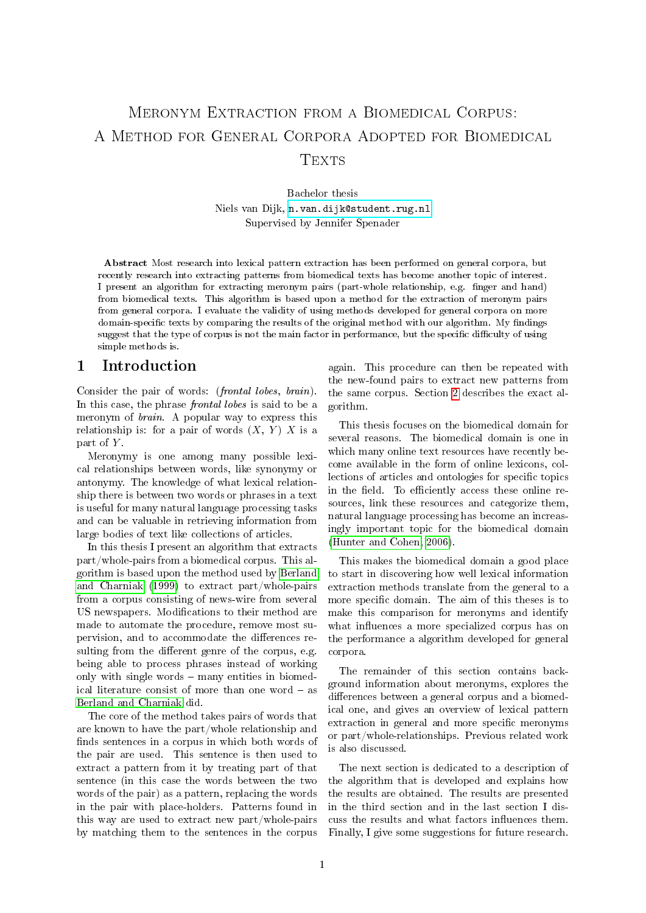# Meronym Extraction from a Biomedical Corpus: A Method for General Corpora Adopted for Biomedical Texts

Bachelor thesis Niels van Dijk, <n.van.dijk@student.rug.nl> Supervised by Jennifer Spenader

Abstract Most research into lexical pattern extraction has been performed on general corpora, but recently research into extracting patterns from biomedical texts has become another topic of interest. I present an algorithm for extracting meronym pairs (part-whole relationship, e.g. finger and hand) from biomedical texts. This algorithm is based upon a method for the extraction of meronym pairs from general corpora. I evaluate the validity of using methods developed for general corpora on more domain-specific texts by comparing the results of the original method with our algorithm. My findings suggest that the type of corpus is not the main factor in performance, but the specific difficulty of using simple methods is.

# <span id="page-0-0"></span>1 Introduction

Consider the pair of words: (frontal lobes, brain). In this case, the phrase frontal lobes is said to be a meronym of brain. A popular way to express this relationship is: for a pair of words  $(X, Y) X$  is a part of Y.

Meronymy is one among many possible lexical relationships between words, like synonymy or antonymy. The knowledge of what lexical relationship there is between two words or phrases in a text is useful for many natural language processing tasks and can be valuable in retrieving information from large bodies of text like collections of articles.

In this thesis I present an algorithm that extracts part/whole-pairs from a biomedical corpus. This algorithm is based upon the method used by [Berland](#page-11-0) [and Charniak](#page-11-0) [\(1999\)](#page-11-0) to extract part/whole-pairs from a corpus consisting of news-wire from several US newspapers. Modifications to their method are made to automate the procedure, remove most supervision, and to accommodate the differences resulting from the different genre of the corpus, e.g. being able to process phrases instead of working only with single words  $-$  many entities in biomedical literature consist of more than one word  $-$  as [Berland and Charniak](#page-11-0) did.

The core of the method takes pairs of words that are known to have the part/whole relationship and finds sentences in a corpus in which both words of the pair are used. This sentence is then used to extract a pattern from it by treating part of that sentence (in this case the words between the two words of the pair) as a pattern, replacing the words in the pair with place-holders. Patterns found in this way are used to extract new part/whole-pairs by matching them to the sentences in the corpus again. This procedure can then be repeated with the new-found pairs to extract new patterns from the same corpus. Section [2](#page-3-0) describes the exact algorithm.

This thesis focuses on the biomedical domain for several reasons. The biomedical domain is one in which many online text resources have recently become available in the form of online lexicons, collections of articles and ontologies for specific topics in the field. To efficiently access these online resources, link these resources and categorize them, natural language processing has become an increasingly important topic for the biomedical domain [\(Hunter and Cohen, 2006\)](#page-11-1).

This makes the biomedical domain a good place to start in discovering how well lexical information extraction methods translate from the general to a more specific domain. The aim of this theses is to make this comparison for meronyms and identify what influences a more specialized corpus has on the performance a algorithm developed for general corpora.

The remainder of this section contains background information about meronyms, explores the differences between a general corpus and a biomedical one, and gives an overview of lexical pattern extraction in general and more specific meronyms or part/whole-relationships. Previous related work is also discussed.

The next section is dedicated to a description of the algorithm that is developed and explains how the results are obtained. The results are presented in the third section and in the last section I discuss the results and what factors influences them. Finally, I give some suggestions for future research.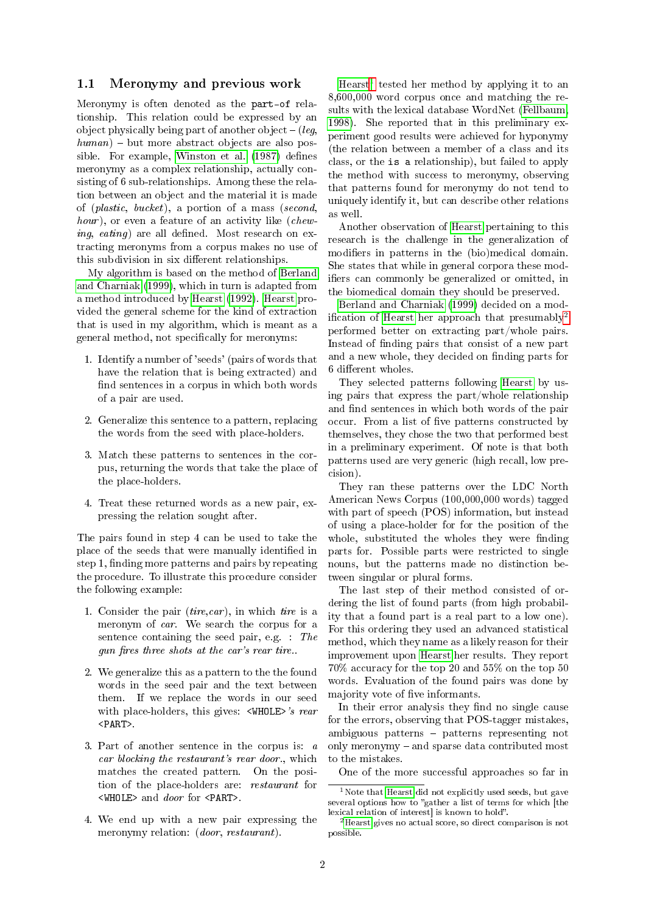#### 1.1 Meronymy and previous work

Meronymy is often denoted as the part-of relationship. This relation could be expressed by an object physically being part of another object  $-$  (leg,  $human$ ) – but more abstract objects are also pos-sible. For example, [Winston et al.](#page-11-2) [\(1987\)](#page-11-2) defines meronymy as a complex relationship, actually consisting of 6 sub-relationships. Among these the relation between an object and the material it is made of (plastic, bucket), a portion of a mass (second, hour), or even a feature of an activity like (chew $ing, \; \textit{eating}$  are all defined. Most research on extracting meronyms from a corpus makes no use of this subdivision in six different relationships.

My algorithm is based on the method of [Berland](#page-11-0) [and Charniak](#page-11-0) [\(1999\)](#page-11-0), which in turn is adapted from a method introduced by [Hearst](#page-11-3) [\(1992\)](#page-11-3). [Hearst](#page-11-3) provided the general scheme for the kind of extraction that is used in my algorithm, which is meant as a general method, not specifically for meronyms:

- 1. Identify a number of 'seeds' (pairs of words that have the relation that is being extracted) and find sentences in a corpus in which both words of a pair are used.
- 2. Generalize this sentence to a pattern, replacing the words from the seed with place-holders.
- 3. Match these patterns to sentences in the corpus, returning the words that take the place of the place-holders.
- 4. Treat these returned words as a new pair, expressing the relation sought after.

The pairs found in step 4 can be used to take the place of the seeds that were manually identified in step 1, finding more patterns and pairs by repeating the procedure. To illustrate this procedure consider the following example:

- 1. Consider the pair  $(tire, car)$ , in which tire is a meronym of car. We search the corpus for a sentence containing the seed pair, e.g. : The gun fires three shots at the car's rear tire..
- 2. We generalize this as a pattern to the the found words in the seed pair and the text between them. If we replace the words in our seed with place-holders, this gives: <WHOLE>'s rear <PART>.
- 3. Part of another sentence in the corpus is: a car blocking the restaurant's rear door., which matches the created pattern. On the position of the place-holders are: restaurant for  $\langle$ WHOLE> and *door* for  $\langle$ PART>.
- 4. We end up with a new pair expressing the meronymy relation: (door, restaurant).

[Hearst](#page-11-3)[1](#page-1-0) tested her method by applying it to an 8,600,000 word corpus once and matching the results with the lexical database WordNet [\(Fellbaum,](#page-11-4) [1998\)](#page-11-4). She reported that in this preliminary experiment good results were achieved for hyponymy (the relation between a member of a class and its class, or the is a relationship), but failed to apply the method with success to meronymy, observing that patterns found for meronymy do not tend to uniquely identify it, but can describe other relations as well.

Another observation of [Hearst](#page-11-3) pertaining to this research is the challenge in the generalization of modifiers in patterns in the (bio)medical domain. She states that while in general corpora these modifiers can commonly be generalized or omitted, in the biomedical domain they should be preserved.

[Berland and Charniak](#page-11-0) [\(1999\)](#page-11-0) decided on a mod-ification of [Hearst](#page-11-3) her approach that presumably<sup>[2](#page-1-1)</sup> performed better on extracting part/whole pairs. Instead of finding pairs that consist of a new part and a new whole, they decided on finding parts for 6 different wholes.

They selected patterns following [Hearst](#page-11-3) by using pairs that express the part/whole relationship and find sentences in which both words of the pair occur. From a list of five patterns constructed by themselves, they chose the two that performed best in a preliminary experiment. Of note is that both patterns used are very generic (high recall, low precision).

They ran these patterns over the LDC North American News Corpus (100,000,000 words) tagged with part of speech (POS) information, but instead of using a place-holder for for the position of the whole, substituted the wholes they were finding parts for. Possible parts were restricted to single nouns, but the patterns made no distinction between singular or plural forms.

The last step of their method consisted of ordering the list of found parts (from high probability that a found part is a real part to a low one). For this ordering they used an advanced statistical method, which they name as a likely reason for their improvement upon [Hearst](#page-11-3) her results. They report 70% accuracy for the top 20 and 55% on the top 50 words. Evaluation of the found pairs was done by majority vote of five informants.

In their error analysis they find no single cause for the errors, observing that POS-tagger mistakes, ambiguous patterns  $-$  patterns representing not only meronymy  $-$  and sparse data contributed most to the mistakes.

One of the more successful approaches so far in

<span id="page-1-0"></span> $1$ Note that [Hearst](#page-11-3) did not explicitly used seeds, but gave several options how to "gather a list of terms for which [the lexical relation of interest] is known to hold".

<span id="page-1-1"></span><sup>&</sup>lt;sup>2</sup>[Hearst](#page-11-3) gives no actual score, so direct comparison is not possible.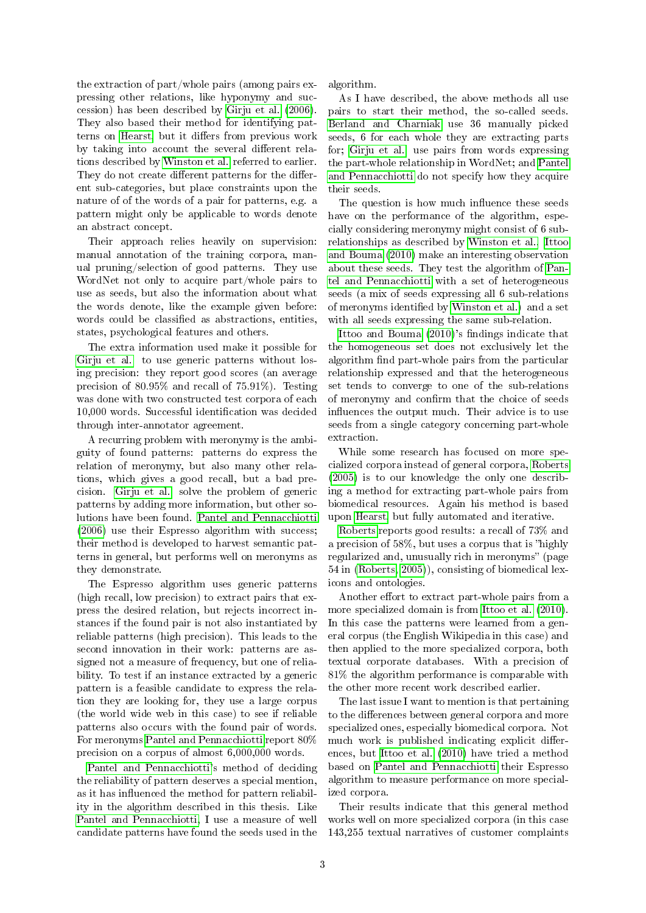the extraction of part/whole pairs (among pairs expressing other relations, like hyponymy and succession) has been described by [Girju et al.](#page-11-5) [\(2006\)](#page-11-5). They also based their method for identifying pat-terns on [Hearst,](#page-11-3) but it differs from previous work by taking into account the several different relations described by [Winston et al.](#page-11-2) referred to earlier. They do not create different patterns for the different sub-categories, but place constraints upon the nature of of the words of a pair for patterns, e.g. a pattern might only be applicable to words denote an abstract concept.

Their approach relies heavily on supervision: manual annotation of the training corpora, manual pruning/selection of good patterns. They use WordNet not only to acquire part/whole pairs to use as seeds, but also the information about what the words denote, like the example given before: words could be classified as abstractions, entities, states, psychological features and others.

The extra information used make it possible for [Girju et al.](#page-11-5) to use generic patterns without losing precision: they report good scores (an average precision of 80.95% and recall of 75.91%). Testing was done with two constructed test corpora of each 10,000 words. Successful identification was decided through inter-annotator agreement.

A recurring problem with meronymy is the ambiguity of found patterns: patterns do express the relation of meronymy, but also many other relations, which gives a good recall, but a bad precision. [Girju et al.](#page-11-5) solve the problem of generic patterns by adding more information, but other solutions have been found. [Pantel and Pennacchiotti](#page-11-6) [\(2006\)](#page-11-6) use their Espresso algorithm with success; their method is developed to harvest semantic patterns in general, but performs well on meronyms as they demonstrate.

The Espresso algorithm uses generic patterns (high recall, low precision) to extract pairs that express the desired relation, but rejects incorrect instances if the found pair is not also instantiated by reliable patterns (high precision). This leads to the second innovation in their work: patterns are assigned not a measure of frequency, but one of reliability. To test if an instance extracted by a generic pattern is a feasible candidate to express the relation they are looking for, they use a large corpus (the world wide web in this case) to see if reliable patterns also occurs with the found pair of words. For meronyms [Pantel and Pennacchiotti](#page-11-6) report 80% precision on a corpus of almost 6,000,000 words.

[Pantel and Pennacchiotti'](#page-11-6)s method of deciding the reliability of pattern deserves a special mention, as it has influenced the method for pattern reliability in the algorithm described in this thesis. Like [Pantel and Pennacchiotti,](#page-11-6) I use a measure of well candidate patterns have found the seeds used in the algorithm.

As I have described, the above methods all use pairs to start their method, the so-called seeds. [Berland and Charniak](#page-11-0) use 36 manually picked seeds, 6 for each whole they are extracting parts for; [Girju et al.](#page-11-5) use pairs from words expressing the part-whole relationship in WordNet; and [Pantel](#page-11-6) [and Pennacchiotti](#page-11-6) do not specify how they acquire their seeds.

The question is how much influence these seeds have on the performance of the algorithm, especially considering meronymy might consist of 6 subrelationships as described by [Winston et al..](#page-11-2) [Ittoo](#page-11-7) [and Bouma](#page-11-7) [\(2010\)](#page-11-7) make an interesting observation about these seeds. They test the algorithm of [Pan](#page-11-6)[tel and Pennacchiotti](#page-11-6) with a set of heterogeneous seeds (a mix of seeds expressing all 6 sub-relations of meronyms identified by [Winston et al.\)](#page-11-2) and a set with all seeds expressing the same sub-relation.

[Ittoo and Bouma](#page-11-7) [\(2010\)](#page-11-7)'s findings indicate that the homogeneous set does not exclusively let the algorithm find part-whole pairs from the particular relationship expressed and that the heterogeneous set tends to converge to one of the sub-relations of meronymy and confirm that the choice of seeds influences the output much. Their advice is to use seeds from a single category concerning part-whole extraction.

While some research has focused on more specialized corpora instead of general corpora, [Roberts](#page-11-8) [\(2005\)](#page-11-8) is to our knowledge the only one describing a method for extracting part-whole pairs from biomedical resources. Again his method is based upon [Hearst,](#page-11-3) but fully automated and iterative.

[Roberts](#page-11-8) reports good results: a recall of 73% and a precision of  $58\%$ , but uses a corpus that is "highly regularized and, unusually rich in meronyms" (page 54 in [\(Roberts, 2005\)](#page-11-8)), consisting of biomedical lexicons and ontologies.

Another effort to extract part-whole pairs from a more specialized domain is from [Ittoo et al.](#page-11-9) [\(2010\)](#page-11-9). In this case the patterns were learned from a general corpus (the English Wikipedia in this case) and then applied to the more specialized corpora, both textual corporate databases. With a precision of 81% the algorithm performance is comparable with the other more recent work described earlier.

The last issue I want to mention is that pertaining to the differences between general corpora and more specialized ones, especially biomedical corpora. Not much work is published indicating explicit differences, but [Ittoo et al.](#page-11-9) [\(2010\)](#page-11-9) have tried a method based on [Pantel and Pennacchiotti](#page-11-6) their Espresso algorithm to measure performance on more specialized corpora.

Their results indicate that this general method works well on more specialized corpora (in this case 143,255 textual narratives of customer complaints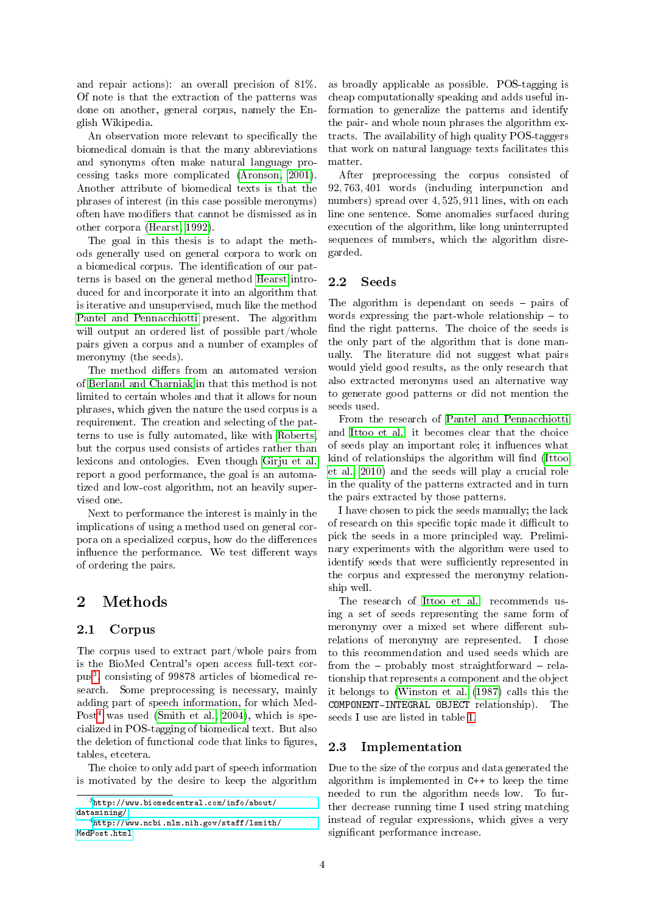and repair actions): an overall precision of 81%. Of note is that the extraction of the patterns was done on another, general corpus, namely the English Wikipedia.

An observation more relevant to specifically the biomedical domain is that the many abbreviations and synonyms often make natural language processing tasks more complicated [\(Aronson, 2001\)](#page-11-10). Another attribute of biomedical texts is that the phrases of interest (in this case possible meronyms) often have modifiers that cannot be dismissed as in other corpora [\(Hearst, 1992\)](#page-11-3).

The goal in this thesis is to adapt the methods generally used on general corpora to work on a biomedical corpus. The identification of our patterns is based on the general method [Hearst](#page-11-3) introduced for and incorporate it into an algorithm that is iterative and unsupervised, much like the method [Pantel and Pennacchiotti](#page-11-6) present. The algorithm will output an ordered list of possible part/whole pairs given a corpus and a number of examples of meronymy (the seeds).

The method differs from an automated version of [Berland and Charniak](#page-11-0) in that this method is not limited to certain wholes and that it allows for noun phrases, which given the nature the used corpus is a requirement. The creation and selecting of the patterns to use is fully automated, like with [Roberts,](#page-11-8) but the corpus used consists of articles rather than lexicons and ontologies. Even though [Girju et al.](#page-11-5) report a good performance, the goal is an automatized and low-cost algorithm, not an heavily supervised one.

Next to performance the interest is mainly in the implications of using a method used on general corpora on a specialized corpus, how do the differences influence the performance. We test different ways of ordering the pairs.

# <span id="page-3-0"></span>2 Methods

# 2.1 Corpus

The corpus used to extract part/whole pairs from is the BioMed Central's open access full-text corpus[3](#page-3-1) , consisting of 99878 articles of biomedical research. Some preprocessing is necessary, mainly adding part of speech information, for which Med-Post<sup>[4](#page-3-2)</sup> was used [\(Smith et al., 2004\)](#page-11-11), which is specialized in POS-tagging of biomedical text. But also the deletion of functional code that links to figures, tables, etcetera.

The choice to only add part of speech information is motivated by the desire to keep the algorithm

as broadly applicable as possible. POS-tagging is cheap computationally speaking and adds useful information to generalize the patterns and identify the pair- and whole noun phrases the algorithm extracts. The availability of high quality POS-taggers that work on natural language texts facilitates this matter.

After preprocessing the corpus consisted of 92, 763, 401 words (including interpunction and numbers) spread over 4, 525, 911 lines, with on each line one sentence. Some anomalies surfaced during execution of the algorithm, like long uninterrupted sequences of numbers, which the algorithm disregarded.

# 2.2 Seeds

The algorithm is dependant on seeds  $-$  pairs of words expressing the part-whole relationship  $-$  to find the right patterns. The choice of the seeds is the only part of the algorithm that is done manually. The literature did not suggest what pairs would yield good results, as the only research that also extracted meronyms used an alternative way to generate good patterns or did not mention the seeds used.

From the research of [Pantel and Pennacchiotti](#page-11-6) and [Ittoo et al.](#page-11-9) it becomes clear that the choice of seeds play an important role; it influences what kind of relationships the algorithm will find [\(Ittoo](#page-11-9) [et al., 2010\)](#page-11-9) and the seeds will play a crucial role in the quality of the patterns extracted and in turn the pairs extracted by those patterns.

I have chosen to pick the seeds manually; the lack of research on this specific topic made it difficult to pick the seeds in a more principled way. Preliminary experiments with the algorithm were used to identify seeds that were sufficiently represented in the corpus and expressed the meronymy relationship well.

The research of [Ittoo et al.](#page-11-9) recommends using a set of seeds representing the same form of meronymy over a mixed set where different subrelations of meronymy are represented. I chose to this recommendation and used seeds which are from the  $-$  probably most straightforward  $-$  relationship that represents a component and the object it belongs to [\(Winston et al.](#page-11-2) [\(1987\)](#page-11-2) calls this the COMPONENT-INTEGRAL OBJECT relationship). The seeds I use are listed in table [1.](#page-4-0)

# 2.3 Implementation

Due to the size of the corpus and data generated the algorithm is implemented in C++ to keep the time needed to run the algorithm needs low. To further decrease running time I used string matching instead of regular expressions, which gives a very significant performance increase.

<span id="page-3-1"></span> $^3$ [http://www.biomedcentral.com/info/about/](http://www.biomedcentral.com/info/about/datamining/) [datamining/](http://www.biomedcentral.com/info/about/datamining/)

<span id="page-3-2"></span><sup>4</sup>[http://www.ncbi.nlm.nih.gov/staff/lsmith/](http://www.ncbi.nlm.nih.gov/staff/lsmith/MedPost.html) [MedPost.html](http://www.ncbi.nlm.nih.gov/staff/lsmith/MedPost.html)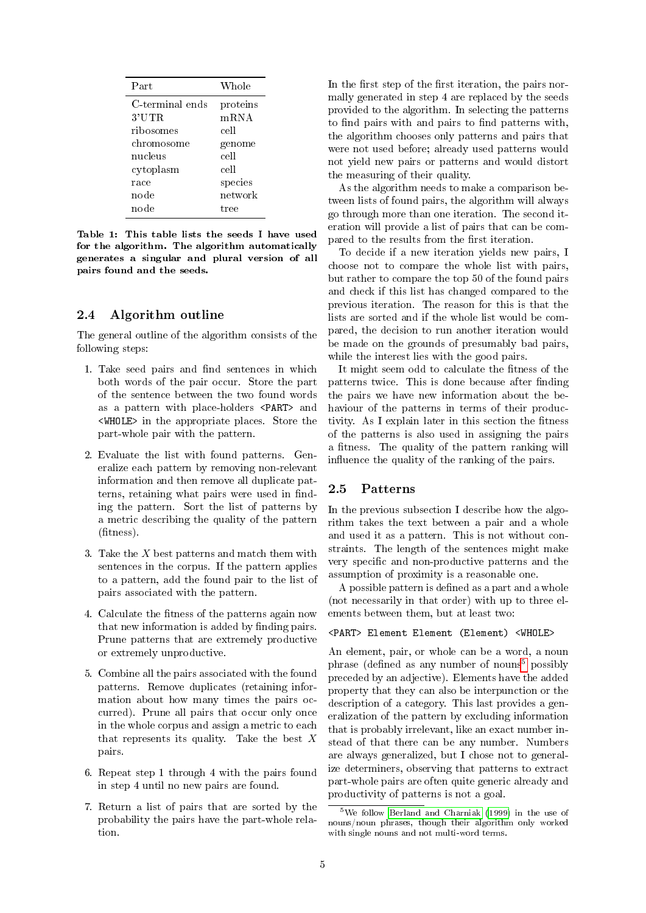<span id="page-4-0"></span>

| Part            | Whole    |  |
|-----------------|----------|--|
| C-terminal ends | proteins |  |
| 3'UTR           | mRNA     |  |
| ribosomes       | cell     |  |
| chromosome      | genome   |  |
| nucleus         | cell     |  |
| cytoplasm       | cell     |  |
| race            | species  |  |
| node            | net work |  |
| node            | tree     |  |
|                 |          |  |

Table 1: This table lists the seeds I have used for the algorithm. The algorithm automatically generates a singular and plural version of all pairs found and the seeds.

#### 2.4 Algorithm outline

The general outline of the algorithm consists of the following steps:

- 1. Take seed pairs and find sentences in which both words of the pair occur. Store the part of the sentence between the two found words as a pattern with place-holders <PART> and <WHOLE> in the appropriate places. Store the part-whole pair with the pattern.
- 2. Evaluate the list with found patterns. Generalize each pattern by removing non-relevant information and then remove all duplicate patterns, retaining what pairs were used in finding the pattern. Sort the list of patterns by a metric describing the quality of the pattern  $(\text{fitness})$ .
- 3. Take the X best patterns and match them with sentences in the corpus. If the pattern applies to a pattern, add the found pair to the list of pairs associated with the pattern.
- 4. Calculate the fitness of the patterns again now that new information is added by finding pairs. Prune patterns that are extremely productive or extremely unproductive.
- 5. Combine all the pairs associated with the found patterns. Remove duplicates (retaining information about how many times the pairs occurred). Prune all pairs that occur only once in the whole corpus and assign a metric to each that represents its quality. Take the best  $X$ pairs.
- 6. Repeat step 1 through 4 with the pairs found in step 4 until no new pairs are found.
- 7. Return a list of pairs that are sorted by the probability the pairs have the part-whole relation.

In the first step of the first iteration, the pairs normally generated in step 4 are replaced by the seeds provided to the algorithm. In selecting the patterns to find pairs with and pairs to find patterns with, the algorithm chooses only patterns and pairs that were not used before; already used patterns would not yield new pairs or patterns and would distort the measuring of their quality.

As the algorithm needs to make a comparison between lists of found pairs, the algorithm will always go through more than one iteration. The second iteration will provide a list of pairs that can be compared to the results from the first iteration.

To decide if a new iteration yields new pairs, I choose not to compare the whole list with pairs, but rather to compare the top 50 of the found pairs and check if this list has changed compared to the previous iteration. The reason for this is that the lists are sorted and if the whole list would be compared, the decision to run another iteration would be made on the grounds of presumably bad pairs, while the interest lies with the good pairs.

It might seem odd to calculate the fitness of the patterns twice. This is done because after finding the pairs we have new information about the behaviour of the patterns in terms of their productivity. As I explain later in this section the fitness of the patterns is also used in assigning the pairs a fitness. The quality of the pattern ranking will influence the quality of the ranking of the pairs.

#### 2.5 Patterns

In the previous subsection I describe how the algorithm takes the text between a pair and a whole and used it as a pattern. This is not without constraints. The length of the sentences might make very specific and non-productive patterns and the assumption of proximity is a reasonable one.

A possible pattern is defined as a part and a whole (not necessarily in that order) with up to three elements between them, but at least two:

#### <PART> Element Element (Element) <WHOLE>

An element, pair, or whole can be a word, a noun phrase (defined as any number of nouns<sup>[5](#page-4-1)</sup> possibly preceded by an adjective). Elements have the added property that they can also be interpunction or the description of a category. This last provides a generalization of the pattern by excluding information that is probably irrelevant, like an exact number instead of that there can be any number. Numbers are always generalized, but I chose not to generalize determiners, observing that patterns to extract part-whole pairs are often quite generic already and productivity of patterns is not a goal.

<span id="page-4-1"></span><sup>5</sup>We follow [Berland and Charniak](#page-11-0) [\(1999\)](#page-11-0) in the use of nouns/noun phrases, though their algorithm only worked with single nouns and not multi-word terms.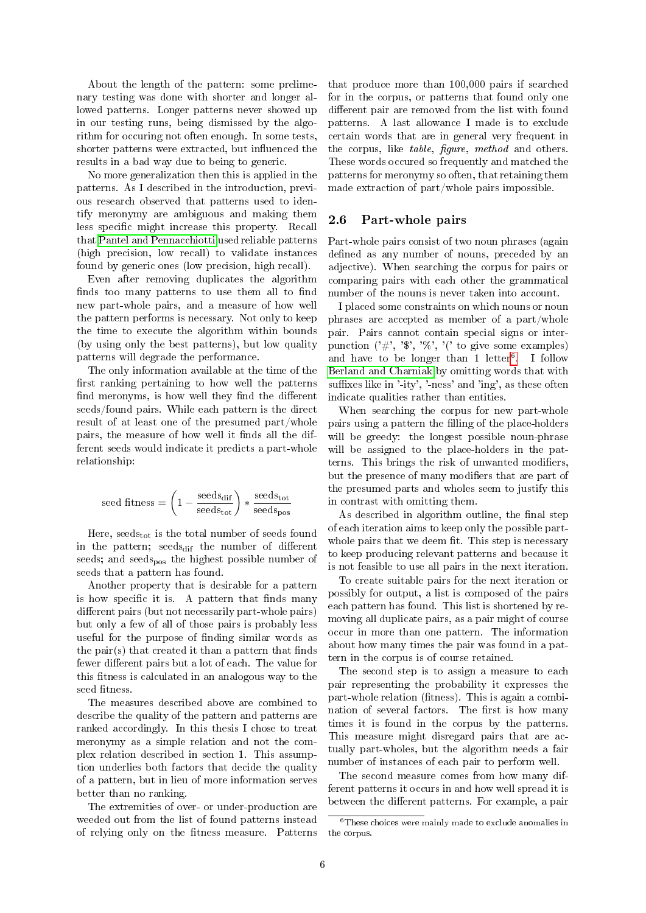About the length of the pattern: some prelimenary testing was done with shorter and longer allowed patterns. Longer patterns never showed up in our testing runs, being dismissed by the algorithm for occuring not often enough. In some tests, shorter patterns were extracted, but influenced the results in a bad way due to being to generic.

No more generalization then this is applied in the patterns. As I described in the introduction, previous research observed that patterns used to identify meronymy are ambiguous and making them less specific might increase this property. Recall that [Pantel and Pennacchiotti](#page-11-6) used reliable patterns (high precision, low recall) to validate instances found by generic ones (low precision, high recall).

Even after removing duplicates the algorithm finds too many patterns to use them all to find new part-whole pairs, and a measure of how well the pattern performs is necessary. Not only to keep the time to execute the algorithm within bounds (by using only the best patterns), but low quality patterns will degrade the performance.

The only information available at the time of the first ranking pertaining to how well the patterns find meronyms, is how well they find the different seeds/found pairs. While each pattern is the direct result of at least one of the presumed part/whole pairs, the measure of how well it finds all the different seeds would indicate it predicts a part-whole relationship:

$$
\text{seed fitness} = \left(1 - \frac{\text{seeds}_{\text{dif}}}{\text{seeds}_{\text{tot}}}\right) * \frac{\text{seeds}_{\text{tot}}}{\text{seeds}_{\text{pos}}}
$$

Here,  $\text{seeds}_{\text{tot}}$  is the total number of seeds found in the pattern; seeds<sub>dif</sub> the number of different seeds; and seeds<sub>nos</sub> the highest possible number of seeds that a pattern has found.

Another property that is desirable for a pattern is how specific it is. A pattern that finds many different pairs (but not necessarily part-whole pairs) but only a few of all of those pairs is probably less useful for the purpose of finding similar words as the pair(s) that created it than a pattern that finds fewer different pairs but a lot of each. The value for this fitness is calculated in an analogous way to the seed fitness.

The measures described above are combined to describe the quality of the pattern and patterns are ranked accordingly. In this thesis I chose to treat meronymy as a simple relation and not the complex relation described in section 1. This assumption underlies both factors that decide the quality of a pattern, but in lieu of more information serves better than no ranking.

The extremities of over- or under-production are weeded out from the list of found patterns instead of relying only on the fitness measure. Patterns that produce more than 100,000 pairs if searched for in the corpus, or patterns that found only one different pair are removed from the list with found patterns. A last allowance I made is to exclude certain words that are in general very frequent in the corpus, like *table*, *figure*, *method* and others. These words occured so frequently and matched the patterns for meronymy so often, that retaining them made extraction of part/whole pairs impossible.

#### 2.6 Part-whole pairs

Part-whole pairs consist of two noun phrases (again defined as any number of nouns, preceded by an adjective). When searching the corpus for pairs or comparing pairs with each other the grammatical number of the nouns is never taken into account.

I placed some constraints on which nouns or noun phrases are accepted as member of a part/whole pair. Pairs cannot contain special signs or interpunction  $('#', '$ , '%, '%, '(' to give some examples) and have to be longer than 1 letter<sup>[6](#page-5-0)</sup>. I follow [Berland and Charniak](#page-11-0) by omitting words that with suffixes like in '-ity', '-ness' and 'ing', as these often indicate qualities rather than entities.

When searching the corpus for new part-whole pairs using a pattern the filling of the place-holders will be greedy: the longest possible noun-phrase will be assigned to the place-holders in the patterns. This brings the risk of unwanted modifiers, but the presence of many modifiers that are part of the presumed parts and wholes seem to justify this in contrast with omitting them.

As described in algorithm outline, the final step of each iteration aims to keep only the possible partwhole pairs that we deem fit. This step is necessary to keep producing relevant patterns and because it is not feasible to use all pairs in the next iteration.

To create suitable pairs for the next iteration or possibly for output, a list is composed of the pairs each pattern has found. This list is shortened by removing all duplicate pairs, as a pair might of course occur in more than one pattern. The information about how many times the pair was found in a pattern in the corpus is of course retained.

The second step is to assign a measure to each pair representing the probability it expresses the part-whole relation (fitness). This is again a combination of several factors. The first is how many times it is found in the corpus by the patterns. This measure might disregard pairs that are actually part-wholes, but the algorithm needs a fair number of instances of each pair to perform well.

The second measure comes from how many different patterns it occurs in and how well spread it is between the different patterns. For example, a pair

<span id="page-5-0"></span> $6$ These choices were mainly made to exclude anomalies in the corpus.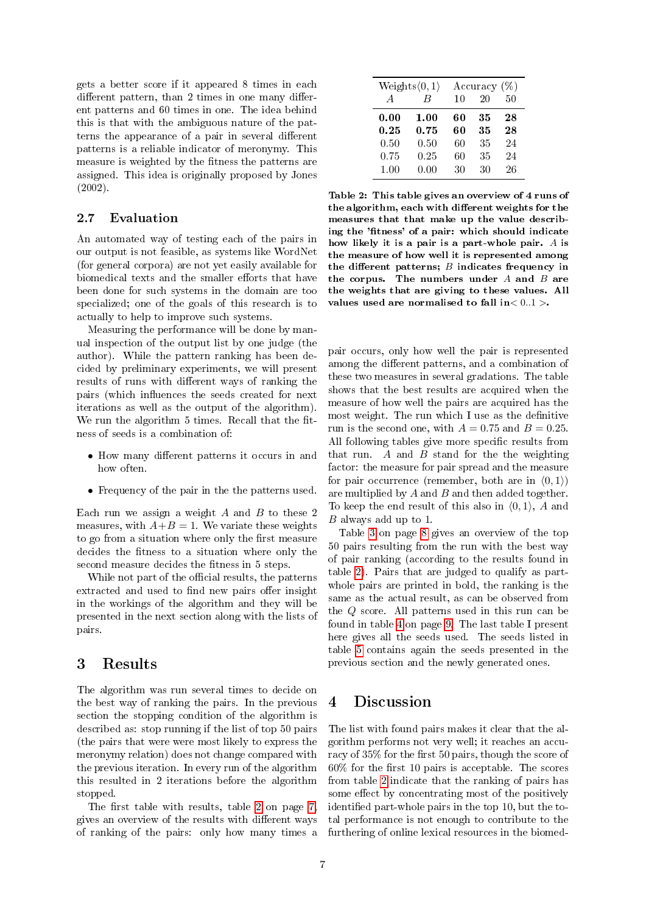gets a better score if it appeared 8 times in each different pattern, than 2 times in one many different patterns and 60 times in one. The idea behind this is that with the ambiguous nature of the patterns the appearance of a pair in several different patterns is a reliable indicator of meronymy. This measure is weighted by the fitness the patterns are assigned. This idea is originally proposed by Jones  $(2002)$ 

#### 2.7 Evaluation

An automated way of testing each of the pairs in our output is not feasible, as systems like WordNet (for general corpora) are not yet easily available for biomedical texts and the smaller efforts that have been done for such systems in the domain are too specialized; one of the goals of this research is to actually to help to improve such systems.

Measuring the performance will be done by manual inspection of the output list by one judge (the author). While the pattern ranking has been decided by preliminary experiments, we will present results of runs with different ways of ranking the pairs (which influences the seeds created for next iterations as well as the output of the algorithm). We run the algorithm 5 times. Recall that the fitness of seeds is a combination of:

- How many different patterns it occurs in and how often.
- Frequency of the pair in the the patterns used.

Each run we assign a weight  $A$  and  $B$  to these 2 measures, with  $A+B=1$ . We variate these weights to go from a situation where only the first measure decides the fitness to a situation where only the second measure decides the fitness in 5 steps.

While not part of the official results, the patterns extracted and used to find new pairs offer insight in the workings of the algorithm and they will be presented in the next section along with the lists of pairs.

# <span id="page-6-1"></span>3 Results

The algorithm was run several times to decide on the best way of ranking the pairs. In the previous section the stopping condition of the algorithm is described as: stop running if the list of top 50 pairs (the pairs that were were most likely to express the meronymy relation) does not change compared with the previous iteration. In every run of the algorithm this resulted in 2 iterations before the algorithm stopped.

The first table with results, table [2](#page-6-0) on page  $7$ , gives an overview of the results with different ways of ranking of the pairs: only how many times a

<span id="page-6-0"></span>

| $Weights \langle 0, 1 \rangle$<br>Accuracy $(\%)$ |      |    |    |    |
|---------------------------------------------------|------|----|----|----|
| $\overline{A}$                                    | R    | 10 | 20 | 50 |
| 0.00                                              | 1.00 | 60 | 35 | 28 |
| 0.25                                              | 0.75 | 60 | 35 | 28 |
| 0.50                                              | 0.50 | 60 | 35 | 24 |
| 0.75                                              | 0.25 | 60 | 35 | 24 |
| 1.00                                              | 0.00 | 30 | 30 | 26 |

Table 2: This table gives an overview of 4 runs of the algorithm, each with different weights for the measures that that make up the value describing the 'fitness' of a pair: which should indicate how likely it is a pair is a part-whole pair. A is the measure of how well it is represented among the different patterns;  $B$  indicates frequency in the corpus. The numbers under  $A$  and  $B$  are the weights that are giving to these values. All values used are normalised to fall in  $< 0.1$  >.

pair occurs, only how well the pair is represented among the different patterns, and a combination of these two measures in several gradations. The table shows that the best results are acquired when the measure of how well the pairs are acquired has the most weight. The run which I use as the definitive run is the second one, with  $A = 0.75$  and  $B = 0.25$ . All following tables give more specific results from that run.  $A$  and  $B$  stand for the the weighting factor: the measure for pair spread and the measure for pair occurrence (remember, both are in  $(0, 1)$ ) are multiplied by  $A$  and  $B$  and then added together. To keep the end result of this also in  $(0, 1)$ , A and B always add up to 1.

Table [3](#page-7-0) on page [8](#page-7-0) gives an overview of the top 50 pairs resulting from the run with the best way of pair ranking (according to the results found in table [2\)](#page-6-0). Pairs that are judged to qualify as partwhole pairs are printed in bold, the ranking is the same as the actual result, as can be observed from the Q score. All patterns used in this run can be found in table [4](#page-8-0) on page [9.](#page-8-0) The last table I present here gives all the seeds used. The seeds listed in table [5](#page-8-1) contains again the seeds presented in the previous section and the newly generated ones.

# 4 Discussion

The list with found pairs makes it clear that the algorithm performs not very well; it reaches an accuracy of 35% for the first 50 pairs, though the score of  $60\%$  for the first 10 pairs is acceptable. The scores from table [2](#page-6-0) indicate that the ranking of pairs has some effect by concentrating most of the positively identified part-whole pairs in the top 10, but the total performance is not enough to contribute to the furthering of online lexical resources in the biomed-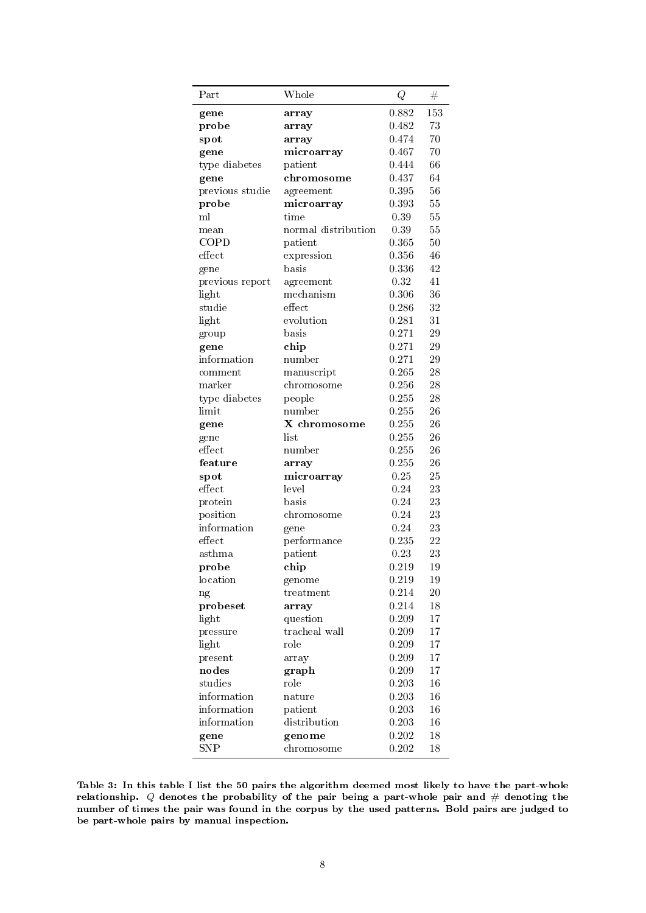<span id="page-7-0"></span>

| Part                        | Whole               | Q        | #      |
|-----------------------------|---------------------|----------|--------|
| gene                        | array               | 0.882    | 153    |
| probe                       | array               | 0.482    | 73     |
| spot                        | array               | 0.474    | 70     |
| gene                        | microarray          | 0.467    | 70     |
| type diabetes               | patient             | 0.444    | 66     |
| gene                        | chromosome          | 0.437    | 64     |
| previous studie             | agreement           | 0.395    | 56     |
| probe                       | microarray          | 0.393    | 55     |
| ml                          | time                | 0.39     | 55     |
| mean                        | normal distribution | $0.39\,$ | 55     |
| COPD                        | patient             | 0.365    | 50     |
| effect                      | expression          | 0.356    | 46     |
| gene                        | basis               | 0.336    | 42     |
| previous report             | agreement           | 0.32     | 41     |
| light                       | mechanism           | 0.306    | 36     |
| studie                      | effect              | 0.286    | 32     |
| light                       | evolution           | 0.281    | 31     |
| group                       | basis               | 0.271    | 29     |
| gene                        | chip                | 0.271    | 29     |
| information                 | number              | 0.271    | 29     |
| $\mathop{\mathrm{comment}}$ | manuscript          | 0.265    | 28     |
| marker                      | chromosome          | 0.256    | 28     |
| type diabetes               | people              | 0.255    | 28     |
| limit                       | number              | 0.255    | 26     |
| gene                        | X chromosome        | 0.255    | 26     |
| gene                        | list                | 0.255    | 26     |
| effect                      | number              | 0.255    | 26     |
| feature                     | array               | 0.255    | 26     |
| spot                        | microarray          | 0.25     | 25     |
| effect                      | level               | 0.24     | 23     |
| protein                     | basis               | 0.24     | 23     |
| position                    | chromosome          | 0.24     | 23     |
| information                 | gene                | 0.24     | 23     |
| effect                      | performance         | 0.235    | 22     |
| asthma                      | patient             | 0.23     | 23     |
| probe                       | chip                | 0.219    | 19     |
| location                    | genome              | 0.219    | 19     |
| ng                          | treatment           | 0.214    | 20     |
| probeset                    | array               | 0.214    | $18\,$ |
| light                       | question            | 0.209    | 17     |
| pressure                    | tracheal wall       | 0.209    | 17     |
| light                       | role                | 0.209    | 17     |
| present                     | array               | 0.209    | 17     |
| nodes                       | graph               | 0.209    | 17     |
| studies                     | role                | 0.203    | $16\,$ |
| information                 | nature              | 0.203    | 16     |
| information                 | patient             | 0.203    | 16     |
| information                 | distribution        | 0.203    | 16     |
| gene                        | genome              | 0.202    | 18     |
| SNP                         | chromosome          | 0.202    | 18     |
|                             |                     |          |        |

Table 3: In this table I list the 50 pairs the algorithm deemed most likely to have the part-whole relationship.  $Q$  denotes the probability of the pair being a part-whole pair and  $\#$  denoting the number of times the pair was found in the corpus by the used patterns. Bold pairs are judged to be part-whole pairs by manual inspection.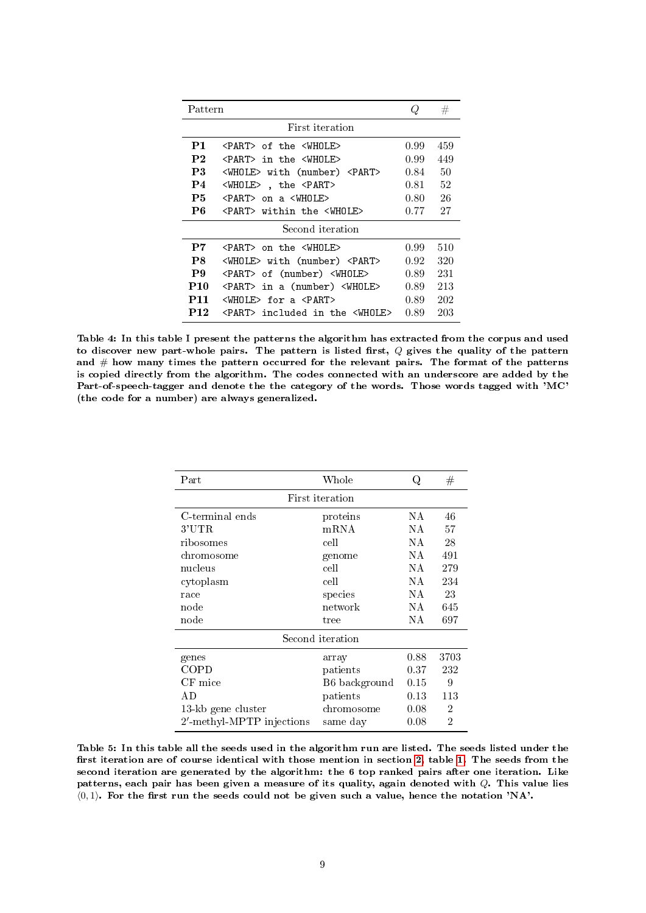<span id="page-8-0"></span>

| Pattern          |                                                                    |                | #   |  |
|------------------|--------------------------------------------------------------------|----------------|-----|--|
|                  | First iteration                                                    |                |     |  |
| P1               | <part> of the <whole></whole></part>                               | 0.99           | 459 |  |
| P <sub>2</sub>   | <part> in the <wholf></wholf></part>                               | 0.99           | 449 |  |
| P3               | <whole> with (number) <part></part></whole>                        | 0.84           | 50  |  |
| P <sub>4</sub>   | <whole>, the <part></part></whole>                                 | 0.81           | 52  |  |
| P5               | <part> on a <whole></whole></part>                                 | $0.80^{\circ}$ | 26  |  |
| P6               | <part> within the <whole></whole></part>                           | 0.77           | 27  |  |
| Second iteration |                                                                    |                |     |  |
| P7               | <part> on the <whole></whole></part>                               | 0.99           | 510 |  |
| P8               | <whole> with (number) <part></part></whole>                        | 0.92           | 320 |  |
| P9               | <part> of (number) <whole></whole></part>                          | 0.89           | 231 |  |
| P10              | <part> in a (number) <whole></whole></part>                        | 0.89           | 213 |  |
| P11              | $\langle \text{WHOLE} \rangle$ for a $\langle \text{PART} \rangle$ | 0.89           | 202 |  |
| P12              | <part> included in the <whole></whole></part>                      | 0.89           | 203 |  |

Table 4: In this table I present the patterns the algorithm has extracted from the corpus and used to discover new part-whole pairs. The pattern is listed first,  $Q$  gives the quality of the pattern and  $#$  how many times the pattern occurred for the relevant pairs. The format of the patterns is copied directly from the algorithm. The codes connected with an underscore are added by the Part-of-speech-tagger and denote the the category of the words. Those words tagged with 'MC' (the code for a number) are always generalized.

<span id="page-8-1"></span>

| Part                      | Whole         | Q    | #              |  |
|---------------------------|---------------|------|----------------|--|
| First iteration           |               |      |                |  |
| C-terminal ends           | proteins      | ΝA   | 46             |  |
| 3'UTR                     | mRNA          | ΝA   | 57             |  |
| ribosomes                 | cell          | ΝA   | 28             |  |
| chromosome                | genome        | NА   | 491            |  |
| nucleus                   | cell          | NA.  | 279            |  |
| cytoplasm                 | cell          | NA.  | 234            |  |
| race                      | species       | ΝA   | 23             |  |
| node                      | network       | NA.  | 645            |  |
| node                      | tree          | NА   | 697            |  |
| Second iteration          |               |      |                |  |
| genes                     | array         | 0.88 | 3703           |  |
| COPD                      | patients      | 0.37 | 232            |  |
| $CF$ mice                 | B6 background | 0.15 | 9              |  |
| АD                        | patients      | 0.13 | 113            |  |
| 13-kb gene cluster        | chromosome    | 0.08 | 2              |  |
| 2'-methyl-MPTP injections | same day      | 0.08 | $\overline{2}$ |  |

Table 5: In this table all the seeds used in the algorithm run are listed. The seeds listed under the first iteration are of course identical with those mention in section [2,](#page-3-0) table [1.](#page-4-0) The seeds from the second iteration are generated by the algorithm: the 6 top ranked pairs after one iteration. Like patterns, each pair has been given a measure of its quality, again denoted with Q. This value lies  $(0, 1)$ . For the first run the seeds could not be given such a value, hence the notation 'NA'.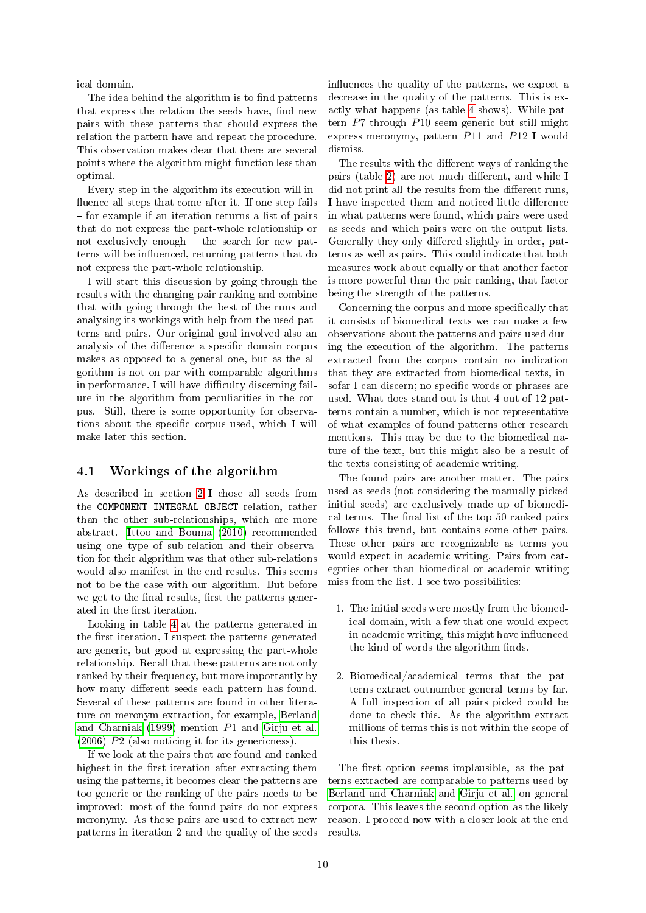ical domain.

The idea behind the algorithm is to find patterns that express the relation the seeds have, find new pairs with these patterns that should express the relation the pattern have and repeat the procedure. This observation makes clear that there are several points where the algorithm might function less than optimal.

Every step in the algorithm its execution will in fluence all steps that come after it. If one step fails  $f$  for example if an iteration returns a list of pairs that do not express the part-whole relationship or not exclusively enough  $-$  the search for new patterns will be influenced, returning patterns that do not express the part-whole relationship.

I will start this discussion by going through the results with the changing pair ranking and combine that with going through the best of the runs and analysing its workings with help from the used patterns and pairs. Our original goal involved also an analysis of the difference a specific domain corpus makes as opposed to a general one, but as the algorithm is not on par with comparable algorithms in performance, I will have difficulty discerning failure in the algorithm from peculiarities in the corpus. Still, there is some opportunity for observations about the specific corpus used, which I will make later this section.

#### 4.1 Workings of the algorithm

As described in section [2](#page-3-0) I chose all seeds from the COMPONENT-INTEGRAL OBJECT relation, rather than the other sub-relationships, which are more abstract. [Ittoo and Bouma](#page-11-7) [\(2010\)](#page-11-7) recommended using one type of sub-relation and their observation for their algorithm was that other sub-relations would also manifest in the end results. This seems not to be the case with our algorithm. But before we get to the final results, first the patterns generated in the first iteration.

Looking in table [4](#page-8-0) at the patterns generated in the first iteration, I suspect the patterns generated are generic, but good at expressing the part-whole relationship. Recall that these patterns are not only ranked by their frequency, but more importantly by how many different seeds each pattern has found. Several of these patterns are found in other literature on meronym extraction, for example, [Berland](#page-11-0) [and Charniak](#page-11-0) [\(1999\)](#page-11-0) mention P1 and [Girju et al.](#page-11-5) [\(2006\)](#page-11-5) P2 (also noticing it for its genericness).

If we look at the pairs that are found and ranked highest in the first iteration after extracting them using the patterns, it becomes clear the patterns are too generic or the ranking of the pairs needs to be improved: most of the found pairs do not express meronymy. As these pairs are used to extract new patterns in iteration 2 and the quality of the seeds influences the quality of the patterns, we expect a decrease in the quality of the patterns. This is exactly what happens (as table [4](#page-8-0) shows). While pattern P7 through P10 seem generic but still might express meronymy, pattern P11 and P12 I would dismiss.

The results with the different ways of ranking the pairs (table [2\)](#page-6-0) are not much different, and while  $I$ did not print all the results from the different runs, I have inspected them and noticed little difference in what patterns were found, which pairs were used as seeds and which pairs were on the output lists. Generally they only differed slightly in order, patterns as well as pairs. This could indicate that both measures work about equally or that another factor is more powerful than the pair ranking, that factor being the strength of the patterns.

Concerning the corpus and more specifically that it consists of biomedical texts we can make a few observations about the patterns and pairs used during the execution of the algorithm. The patterns extracted from the corpus contain no indication that they are extracted from biomedical texts, insofar I can discern; no specific words or phrases are used. What does stand out is that 4 out of 12 patterns contain a number, which is not representative of what examples of found patterns other research mentions. This may be due to the biomedical nature of the text, but this might also be a result of the texts consisting of academic writing.

The found pairs are another matter. The pairs used as seeds (not considering the manually picked initial seeds) are exclusively made up of biomedical terms. The final list of the top 50 ranked pairs follows this trend, but contains some other pairs. These other pairs are recognizable as terms you would expect in academic writing. Pairs from categories other than biomedical or academic writing miss from the list. I see two possibilities:

- 1. The initial seeds were mostly from the biomedical domain, with a few that one would expect in academic writing, this might have influenced the kind of words the algorithm finds.
- 2. Biomedical/academical terms that the patterns extract outnumber general terms by far. A full inspection of all pairs picked could be done to check this. As the algorithm extract millions of terms this is not within the scope of this thesis.

The first option seems implausible, as the patterns extracted are comparable to patterns used by [Berland and Charniak](#page-11-0) and [Girju et al.](#page-11-5) on general corpora. This leaves the second option as the likely reason. I proceed now with a closer look at the end results.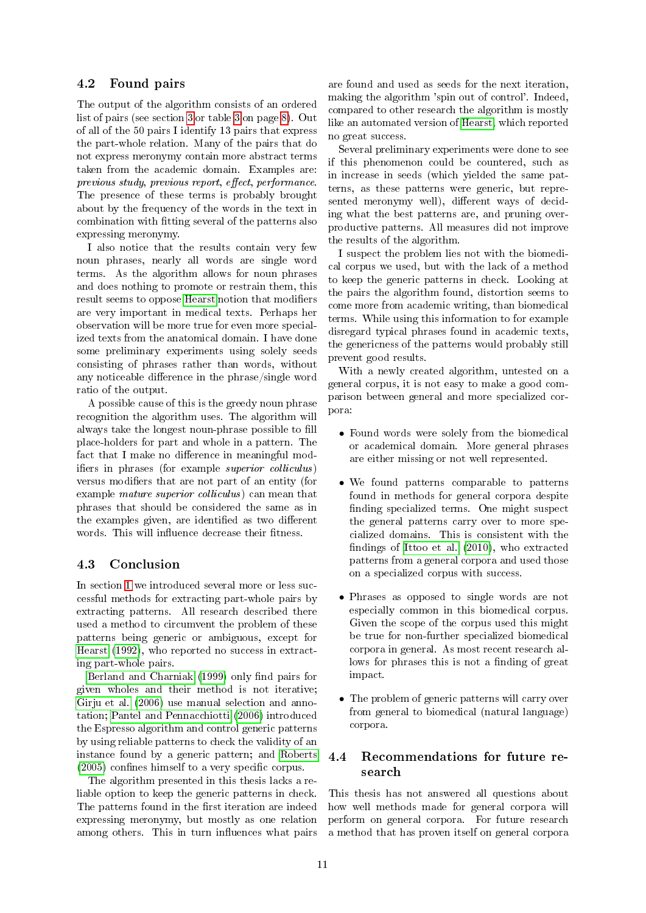# 4.2 Found pairs

The output of the algorithm consists of an ordered list of pairs (see section [3](#page-6-1) or table [3](#page-7-0) on page [8\)](#page-7-0). Out of all of the 50 pairs I identify 13 pairs that express the part-whole relation. Many of the pairs that do not express meronymy contain more abstract terms taken from the academic domain. Examples are:  $previous$  study, previous report, effect, performance. The presence of these terms is probably brought about by the frequency of the words in the text in combination with tting several of the patterns also expressing meronymy.

I also notice that the results contain very few noun phrases, nearly all words are single word terms. As the algorithm allows for noun phrases and does nothing to promote or restrain them, this result seems to oppose [Hearst](#page-11-3) notion that modifiers are very important in medical texts. Perhaps her observation will be more true for even more specialized texts from the anatomical domain. I have done some preliminary experiments using solely seeds consisting of phrases rather than words, without any noticeable difference in the  $phrase/single$  word ratio of the output.

A possible cause of this is the greedy noun phrase recognition the algorithm uses. The algorithm will always take the longest noun-phrase possible to fill place-holders for part and whole in a pattern. The fact that I make no difference in meaningful modifiers in phrases (for example *superior colliculus*) versus modifiers that are not part of an entity (for example mature superior colliculus) can mean that phrases that should be considered the same as in the examples given, are identified as two different words. This will influence decrease their fitness.

# 4.3 Conclusion

In section [1](#page-0-0) we introduced several more or less successful methods for extracting part-whole pairs by extracting patterns. All research described there used a method to circumvent the problem of these patterns being generic or ambiguous, except for [Hearst](#page-11-3) [\(1992\)](#page-11-3), who reported no success in extracting part-whole pairs.

[Berland and Charniak](#page-11-0) [\(1999\)](#page-11-0) only find pairs for given wholes and their method is not iterative; [Girju et al.](#page-11-5) [\(2006\)](#page-11-5) use manual selection and annotation; [Pantel and Pennacchiotti](#page-11-6) [\(2006\)](#page-11-6) introduced the Espresso algorithm and control generic patterns by using reliable patterns to check the validity of an instance found by a generic pattern; and [Roberts](#page-11-8)  $(2005)$  confines himself to a very specific corpus.

The algorithm presented in this thesis lacks a reliable option to keep the generic patterns in check. The patterns found in the first iteration are indeed expressing meronymy, but mostly as one relation among others. This in turn influences what pairs are found and used as seeds for the next iteration, making the algorithm 'spin out of control'. Indeed, compared to other research the algorithm is mostly like an automated version of [Hearst,](#page-11-3) which reported no great success.

Several preliminary experiments were done to see if this phenomenon could be countered, such as in increase in seeds (which yielded the same patterns, as these patterns were generic, but represented meronymy well), different ways of deciding what the best patterns are, and pruning overproductive patterns. All measures did not improve the results of the algorithm.

I suspect the problem lies not with the biomedical corpus we used, but with the lack of a method to keep the generic patterns in check. Looking at the pairs the algorithm found, distortion seems to come more from academic writing, than biomedical terms. While using this information to for example disregard typical phrases found in academic texts, the genericness of the patterns would probably still prevent good results.

With a newly created algorithm, untested on a general corpus, it is not easy to make a good comparison between general and more specialized corpora:

- Found words were solely from the biomedical or academical domain. More general phrases are either missing or not well represented.
- We found patterns comparable to patterns found in methods for general corpora despite nding specialized terms. One might suspect the general patterns carry over to more specialized domains. This is consistent with the ndings of [Ittoo et al.](#page-11-9) [\(2010\)](#page-11-9), who extracted patterns from a general corpora and used those on a specialized corpus with success.
- Phrases as opposed to single words are not especially common in this biomedical corpus. Given the scope of the corpus used this might be true for non-further specialized biomedical corpora in general. As most recent research allows for phrases this is not a finding of great impact.
- The problem of generic patterns will carry over from general to biomedical (natural language) corpora.

# 4.4 Recommendations for future research

This thesis has not answered all questions about how well methods made for general corpora will perform on general corpora. For future research a method that has proven itself on general corpora